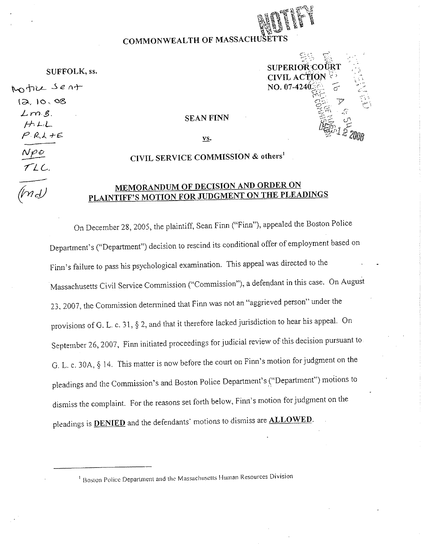## **COMMONWEALTH OF MASSACHUSE**

SUFFOLK, ss.

Motile sent 12, 10, 08  $L$   $m.5$ . */-AJ-,L* **SEAN FINN**   $P$ *R*, $L$ *+E*  $N\rho$ o 7LL.



ys.

## **CIVIL SERVICE COMMISSION** & **others'**

## **MEMORANDUM OF DECISION AND ORDER ON PLAINTIFF'S MOTION FOR JUDGMENT ON THE PLEADINGS**

On December 28, 2005, the plaintiff, Scan Finn ("Finn"), appealed the Boston Police Department's ("Department") decision to rescind its conditional offer of employment based on Finn's failure to pass his psychological examination. This appeal was directed to the Massachusetts Civil Service Commission ("Commission"), a defendant in this case. On August 23, 2007, the Commission determined that Finn was not an "aggrieved person" under the provisions of G. L. c. 31, § 2, and that it therefore lacked jurisdiction to hear his appeal. On September 26, 2007, Finn initiated proceedings for judicial review of this decision pursuant to G. L. c. 30A, § 14. This matter is now before the court on Finn's motion for judgment on the pleadings and the Commission's and Boston Police Department's ("Department") motions to dismiss the complaint. For the reasons set forth below, Finn's motion for judgment on the pleadings is **DENIED** and the defendants' motions to dismiss are **ALLOWED**.

<sup>1</sup> Boston Police Department and the Massachusetts Human Resources Division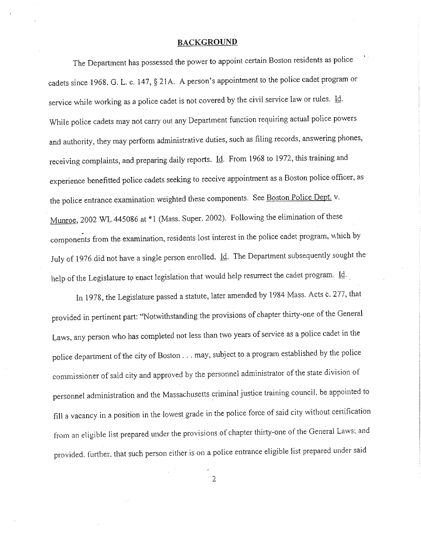#### **BACKGROUND**

The Department has possessed the power to appoint certain Boston residents as police cadets since 1968. G. L. c. 147, § 21A. A person's appointment to the police cadet program or service while working as a police cadet is not covered by the civil service law or rules. Id. While police cadets may not carry out any Department function requiring actual police powers and authority, they may perform administrative duties, such as filing records, answering phones, receiving complaints, and preparing daily reports. Id. From 1968 to 1972, this training and experience benefitted police cadets seeking to receive appointment as a Boston police officer, as the police entrance examination weighted these components. See Boston Police Dept. v. Munroe, 2002 WL 445086 at \*1 (Mass. Super. 2002). Following the elimination of these components from the examination, residents lost interest in the police cadet program, which by July of 1976 did not have a single person enrolled. Id. The Department subsequently sought the help of the Legislature to enact legislation that would help resurrect the cadet program. Id.

In 1978, the Legislature passed a statute, later amended by 1984 Mass. Acts c. 277, that provided in pertinent part: "Notwithstanding the provisions of chapter thirty-one of the General Laws, any person who has completed not less than two years of service as a police cadet in the police department of the city of Boston ... may, subject to a program established by the police commissioner of said city and approved by the personnel administrator of the state division of personnel administration and the Massachusetts criminal justice training council. be appointed to fill a vacancy in a position in the lowest grade in the police force of said city without certification from an eligible list prepared under the provisions of chapter thirty-one of the General Laws: and provided. l'urther. that such person either is on a police entrance eligible list prepared under said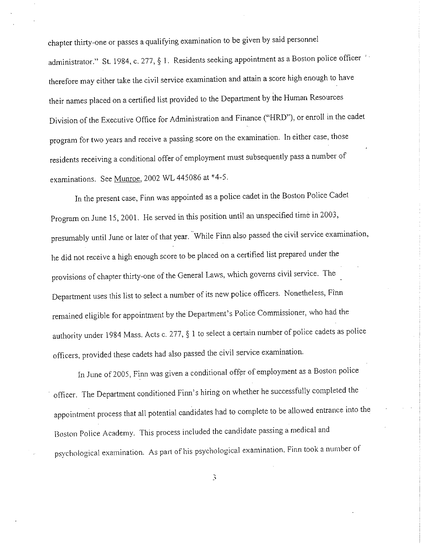chapter thirty-one or passes a qualifying examination to be given by said personnel administrator." St. 1984, c. 277, § 1. Residents seeking appointment as a Boston police officer 'therefore may either take the civil service examination and attain a score high enough to have their names placed on a certified list provided to the Department by the Human Resources Division of the Executive Office for Administration and Finance ("HRD"), or enroll in the cadet program for two years and receive a passing score on the examination. In either case, those residents receiving a conditional offer of employment must subsequently pass a number of examinations. See Munroe, 2002 WL 445086 at \*4-5.

In the present case, Finn was appointed as a police cadet in the Boston Police Cadet Program on June 15, 2001. He served in this position until an unspecified time in 2003, presumably until June or later of that year. While Finn also passed the civil service examination, he did not receive a high enough score to be placed on a certified list prepared under the provisions of chapter thirty-one of the General Laws, which governs civil service. The Department uses this list to select a number of its new police officers. Nonetheless, Finn remained eligible for appointment by the Department's Police Commissioner, who had the authority under 1984 Mass. Acts c. 277, § 1 to select a certain number of police cadets as police officers, provided these cadets had also passed the civil service examination.

In June of 2005, Finn was given a conditional offer of employment as a Boston police officer. The Department conditioned Finn's hiring on whether he successfully completed the appointment process that all potential candidates had to complete to be allowed entrance into the Boston Police Academy. This process included the candidate passing a medical and psychological examination. As part of his psychological examination. Finn took a number of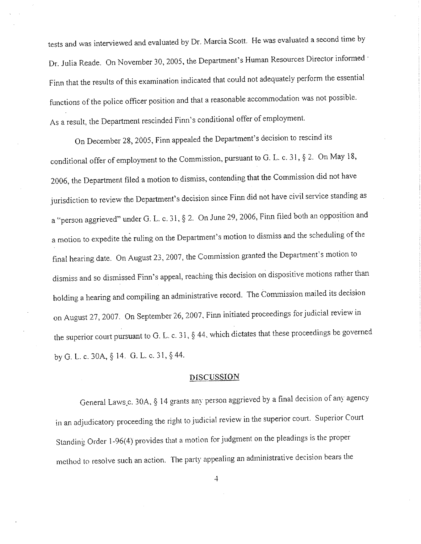tests and was interviewed and evaluated by Dr. Marcia Scott. He was evaluated a second time by Dr. Julia Reade. On November 30, 2005, the Department's Human Resources Director informed· Finn that the results of this examination indicated that could not adequately perform the essential functions of the police officer position and that a reasonable accommodation was not possible. As a result, the Department rescinded Finn's conditional offer of employment.

On December 28, 2005, Finn appealed the Department's decision to rescind its conditional offer of employment to the Commission, pursuant to G. L. c. 31, § 2. On May 18, 2006, the Department filed a motion to dismiss, contending that the Commission did not have jurisdiction to review the Department's decision since Finn did not have civil service standing as a "person aggrieved" under G. L. c. 31, § 2. On June 29, 2006, Finn filed both an opposition and a motion to expedite the ruling on the Department's motion to dismiss and the scheduling of the final hearing date. On August 23, 2007, the Commission granted the Department's motion to dismiss and so dismissed Finn's appeal, reaching this decision on dispositive motions rather than holding a hearing and compiling an administrative record. The Commission mailed its decision on August 27, 2007. On September 26, 2007, Finn initiated proceedings for judicial review in the superior court pursuant to G. L. c. 31, § 44, which dictates that these proceedings be governed byG. L. C. 30A, § 14. G. L. C. 31, §44.

### **DISCUSSION**

General Laws\_c. 30A, § 14 grants any person aggrieved by a final decision of any agency in an adjudicatory proceeding the right to judicial review in the superior court. Superior Court Standing Order l-96(4) provides that a motion for judgment on the pleadings is the proper method to resolve such an action. The party appealing an administrative decision bears the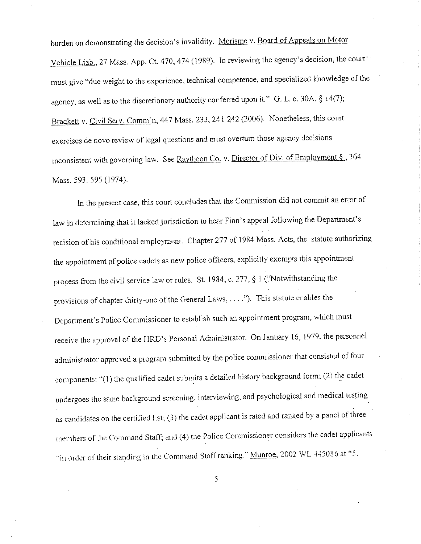burden on demonstrating the decision's invalidity. Merisme v. Board of Appeals on Motor Vehicle Liab., 27 Mass. App. Ct. 470,474 (1989). In reviewing the agency's decision, the court' must give "due weight to the experience, technical competence, and specialized knowledge of the agency, as well as to the discretionary authority conferred upon it." G. L. c. 30A, § 14(7); Brackett v. Civil Serv. Comm'n, 447 Mass. 233, 241-242 (2006). Nonetheless, this court exercises de novo review of legal questions and must overturn those agency decisions inconsistent with governing law. See Raytheon Co. v. Director of Div. of Employment §., 364 Mass. 593, 595 (1974).

In the present case, this court concludes that the Commission did not commit an error of law in determining that it lacked jurisdiction to hear Finn's appeal following the Department's recision of his conditional employment. Chapter 277 of 1984 Mass. Acts, the statute authorizing the appointment of police cadets as new police officers, explicitly exempts this appointment process from the civil service law or rules. St. 1984, c. 277, § I ("Notwithstanding the provisions of chapter thirty-one of the General Laws, .... "). This statute enables the Department's Police Commissioner to establish such an appointment program, which must receive the approval of the HRD's Personal Administrator. On January 16, 1979, the personnel administrator approved a program submitted by the police commissioner that consisted of four components: ·'(I) the qualified cadet submits a detailed history background form: (2) the cadet undergoes the same background screening. interviewing, and psychological and medical testing as candidates on the certified list; (3) the cadet applicant is rated and ranked by a panel of three members of the Command Staff; and (4) the Police Commissioner considers the cadet applicants ••in order of their standing in the Command Stall ranking." Munroe, 2002 WL 445086 at \*5.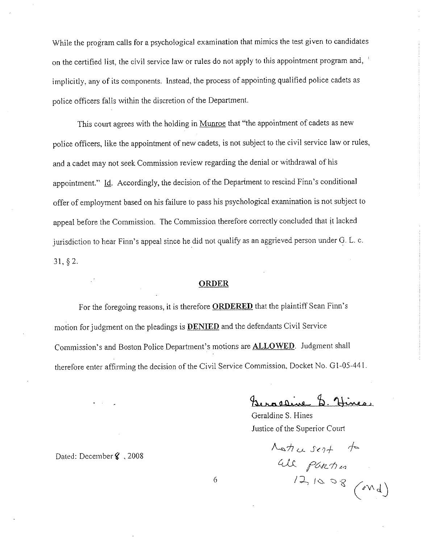While the program calls for a psychological examination that mimics the test given to candidates on the certified list, the civil service law or rules do not apply to this appointment program and, implicitly, any of its components. Instead, the process of appointing qualified police cadets as police officers falls within the discretion of the Department.

This court agrees with the holding in Munroe that "the appointment of cadets as new police officers, like the appointment of new cadets, is not subject to the civil service law or rules, and a cadet may not seek Commission review regarding the denial or withdrawal of his appointment." Id. Accordingly, the decision of the Department to rescind Finn's conditional offer of employment based on his failure to pass his psychological examination is not subject to appeal before the Commission. The Commission therefore correctly concluded that it lacked jurisdiction to hear Finn's appeal since he did not qualify as an aggrieved person under G. L. c. 31, § 2.

#### **ORDER**

For the foregoing reasons, it is therefore **ORDERED** that the plaintiff Sean Finn's motion for judgment on the pleadings is **DENIED** and the defendants Civil Service Commission's and Boston Police Department's motions are **ALLOWED.** Judgment shall therefore enter affirming the decision of the Civil Service Commission, Docket No. G 1-05-441.

6

 $u_{\text{transitive}}$  , Hines,

Geraldine S. Hines Justice of the Superior Court

 $A$ atic sent to  $\mu$ *J: PURTI in*  $12, 10, 08$ 

Dated: Decemberi , 2008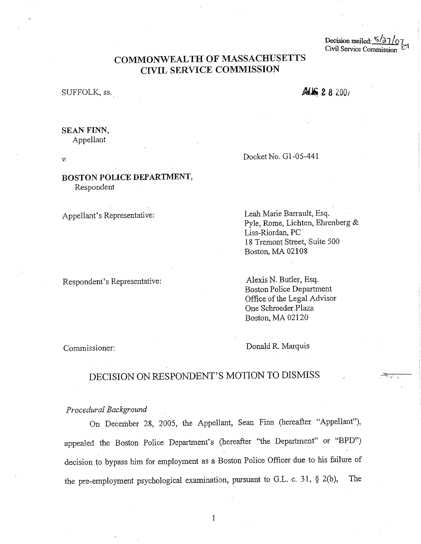Decision mailed:  $\frac{\sqrt{37}}{Q}$ Civil Service Commission

## **COMMONWEALTH OF MASSACHUSETTS CIVIL SERVICE COMMISSION**

### SUFFOLK, ss.

## ALS 28200

## **SEAN FINN,**

Appellant

V.

## **BOSTON POLICE DEPARTMENT,**  Respondent

Appellant's Representative:

Respondent's Representative:

Docket No. Gl-05-441

Leah Marie Barrault, Esq. Pyle, Rome, Lichten, Ehrenberg & Liss-Riordan, PC 18 Tremont Street, Suite 500 Boston, MA 02108

Alexis N. Butler, Esq. Boston Police Department Office of the Legal Advisor One Schroeder Plaza Boston, MA 02120

Commissioner:

Donald R. Marquis

# DECISION ON RESPONDENT'S MOTION TO DISMISS

*Procedural Background* 

On December 28, 2005, the Appellant, Sean Finn (hereafter "Appellant"), appealed the Boston Police Department's (hereafter "the Department" or "BPD") decision to bypass him for employment as a Boston Police Officer due to his failure of the pre-employment psychological examination, pursuant to G.L. c. 31, § 2(b), The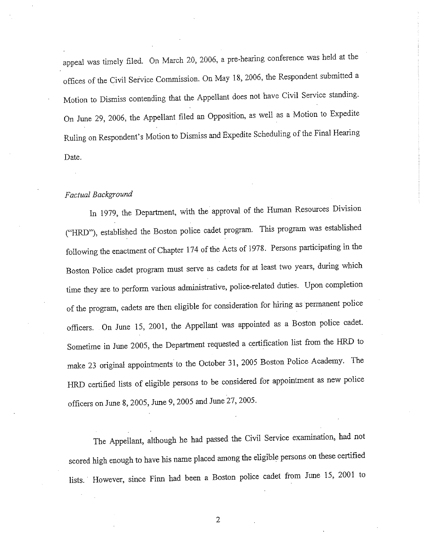appeal was timely filed. On March 20, 2006, a pre-hearing conference was held at the offices of the Civil Service Commission. On May 18, 2006, the Respondent submitted a Motion to Dismiss contending that the Appellant does not have Civil Service standing. On June 29, 2006, the Appellant filed an Opposition, as well as a Motion to Expedite Ruling on Respondent's Motion to Dismiss and Expedite Scheduling of the Final Hearing Date.

#### *Factual Background*

In 1979, the Department, with the approval of the Human Resources Division ("HRD"), established the Boston police cadet program. This program was established following the enactment of Chapter 174 of the Acts of 1978. Persons participating in the Boston Police cadet program must serve as cadets for at least two years, during which time they are to perform various administrative, police-related duties. Upon completion of the program, cadets are then eligible for consideration for hiring as permanent police officers. On June 15, 2001, the Appellant was appointed as a Boston police cadet. Sometime in June 2005, the Department requested a certification list from the HRD to make 23 original appointments to the October 31, 2005 Boston Police Academy. The HRD certified lists of eligible persons to be considered for appointment as new police officers on June 8, 2005, June 9, 2005 and June 27, 2005.

The Appellant, although he had passed the Civil Service examination, had not scored high enough to have his name placed among the eligible persons on these certified lists. However, since Finn had been a Boston police cadet from June 15, 2001 to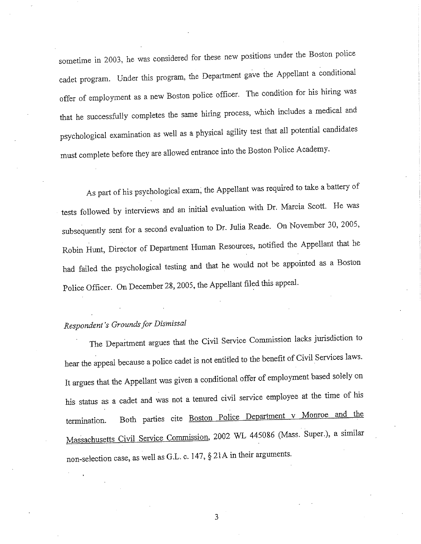sometime in 2003, he was considered for these new positions under the Boston police cadet program. Under this program, the Department gave the Appellant a conditional offer of employment as a new Boston police officer. The condition for his hiring was that he successfully completes the same hiring process, which includes a medical and psychological examination as well as a physical agility test that all potential candidates must complete before they are allowed entrance into the Boston Police Academy.

As part of his psychological exam; the Appellant was required to take a battery of tests followed by interviews and an initial evaluation with Dr. Marcia Scott. He was subsequently sent for a second evaluation to Dr. Julia Reade. On November 30, 2005, Robin Hunt, Director of Department Human Resources, notified the Appellant that he had failed the psychological testing and that he would not be appointed as a Boston Police Officer. On December 28, 2005, the Appellant filed this appeal.

# *Respondent's Grounds for Disrnissal*

The Department argues that the Civil Service Commission lacks jurisdiction to hear the appeal because a police cadet is not entitled to the benefit of Civil Services laws. It argues that the Appellant was given a conditional offer of employment based solely on his status as a cadet and was not a tenured civil service employee at the time of his termination. Both parties cite **Boston Police Department v Monroe and the** Massachusetts Civil Service Commission, 2002 WL 445086 (Mass. Super.), a similar non-selection case, as well as G.L. c. 147,  $\S$  21A in their arguments.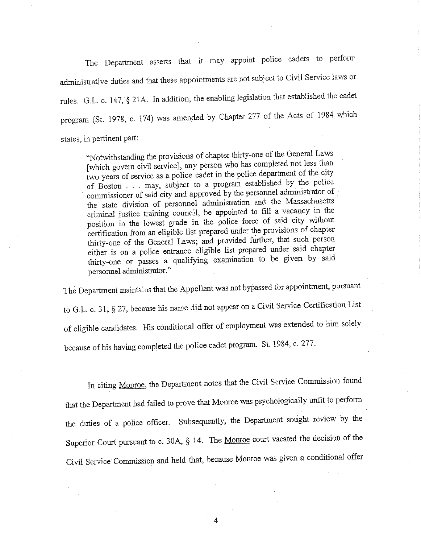The Department asserts that it may appoint police cadets to perform administrative duties and that these appointments are not subject to Civil Service laws or rules. G.L. c. 147, § 21A. In addition, the enabling legislation that established the cadet program (St. 1978, c. 174) was amended by Chapter 277 of the Acts of 1984 which states, in pertinent part:

"Notwithstanding the provisions of chapter thirty-one of the General Laws [which govern civil service), any person who has completed not less than two years of service as a police cadet in the police department of the city of Boston ... may, subject to a program established by the police commissioner of said city and approved by the personnel administrator of the state division of personnel administration and the Massachusetts criminal justice training council, be appointed to fill a vacancy in the position in the lowest grade in the police force of said city without certification from an eligible list prepared under the provisions of chapter thirty-one of the General Laws; and provided further, that such person either is on a police entrance eligible list prepared under said chapter thirty-one or passes a qualifying examination to be given by said personnel administrator."

The Department maintains that the Appellant was not bypassed for appointment, pursuant to G.L. c. 31, § 27, because his name did not appear on a Civil Service Certification List of eligible candidates. His conditional offer of employment was extended to him solely because of his having completed the police cadet program. St. 1984, c. 277.

In citing Monroe, the Department notes that the Civil Service Commission found that the Department had failed to prove that Monroe was psychologically unfit to perform the duties of a police officer. Subsequently, the Department sought review by the Superior Court pursuant to c. 30A, § 14. The Monroe court vacated the decision of the Civil Service Commission and held that, because Monroe was given a conditional offer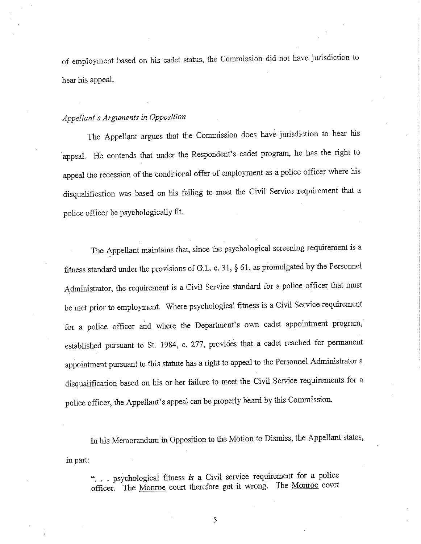of employment based on his cadet status, the Commission did not have jurisdiction to hear his appeal.

### *Appellant's Arguments in Opposition*

The Appellant argues that the Commission does have jurisdiction to hear his appeal. He contends that under the Respondent's cadet program, he has the right to appeal the recession of the conditional offer of employment as a police officer where his disqualification was based on his failing to meet the Civil Service requirement that a police officer be psychologically fit.

The Appellant maintains that, since the psychological screening requirement is a fitness standard under the provisions of G.L. c. 31, § 61, as promulgated by the Personnel Administrator, the requirement is a Civil Service standard for a police officer that must be met prior to employment. Where psychological fitness is a Civil Service requirement for a police officer and where the Department's own cadet appointment program, established pursuant to St. 1984, c. 277, provides that a cadet reached for permanent appointment pursuant to this statute has a right to appeal to the Personnel Administrator a disqualification based on his or her failure to meet the Civil Service requirements for <sup>a</sup> police officer, the Appellant's appeal can be properly heard by this Commission.

in part: In his Memorandum in Opposition to the Motion to Dismiss, the Appellant states,

"... psychological fitness *is* a Civil service requirement for a police officer. The Monroe court therefore got it wrong. The Monroe court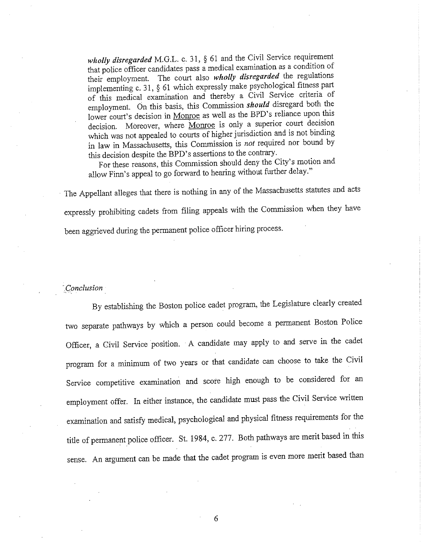*wholly disregarded* M.G.L. c. 31, § 61 and the Civil Service requirement that police officer candidates pass a medical examination as a condition of their employment. The court also *wholly disregarded* the regulations implementing c. 31, § <sup>61</sup>which expressly make psychological fitness part of this medical examination and thereby a Civil Service criteria of employment. On this basis, this Commission *should* disregard both the lower court's decision in Monroe as well as the BPD's reliance upon this decision. Moreover, where Monroe is only a superior court decision which was not appealed to courts of higher jurisdiction and is not binding in law in Massachusetts, this Commission is *not* required nor bound by this decision despite the BPD's assertions to the contrary.

For these reasons, this Commission should deny the City's motion and allow Finn's appeal to go forward to hearing without further delay."

· The Appellant alleges that there is nothing in any of the Massachusetts statutes and acts expressly prohibiting cadets from filing appeals with the Commission when they have been aggrieved during the permanent police officer hiring process.

### *\_Conclusion*

By establishing the Boston police cadet program, the Legislature clearly created two separate pathways by which a person could become a permanent Boston Police Officer, a Civil Service position. A candidate may apply to and serve in the cadet program for a minimum of two years or that candidate can choose to take the Civil Service competitive examination and score high enough to be considered for an employment offer. In either instance, the candidate must pass the Civil Service written examination and satisfy medical, psychological and physical fitness requirements for the title of permanent police officer. St. 1984, c. 277. Both pathways are merit based in this sense. An argument can be made that the cadet program is even more merit based than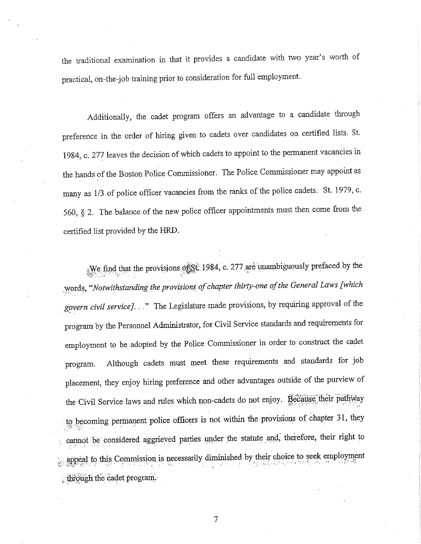the traditional examination in that it provides a candidate with two year's worth of practical, on-the-job training prior to consideration for full employment.

Additionally, the cadet program offers an advantage to a candidate through preference in the order of hiring given to cadets over candidates on certified lists. St. 1984, c. 277 leaves the decision of which cadets to appoint to the permanent vacancies in the hands of the Boston Police Commissioner. The Police Commissioner may appoint as many as 1/3 of police officer vacancies from the ranks of the police cadets. St. 1979, c. 560, § 2. The balance of the new police officer appointments must then come from the certified list provided by the HRD.

We find that the provisions  $\phi$   $\S$ t; 1984, c. 277 are unambiguously prefaced by the . :words, *"Notwithstanding the provisions of chapter thirty-one of the General Laws [which*  govern civil service]. .." The Legislature made provisions, by requiring approval of the program by the Personnel Administrator, for Civil Service standards and requirements for employment to be adopted by the Police Commissioner in order to construct the cadet program. Although cadets must meet these requirements and standards for job placement, they enjoy hiring preference and other advantages outside of the purview of the Civil Service laws and rules which non-cadets do not enjoy.  $\hat{R}$  ecause their pathyay to becoming permanent police officers is not within the provisions of chapter 31, they cannot be considered aggrieved parties under the statute and, therefore, their right to appeal to this Commission is necessarily diminished by their choice to seek employment ; through the cadet program.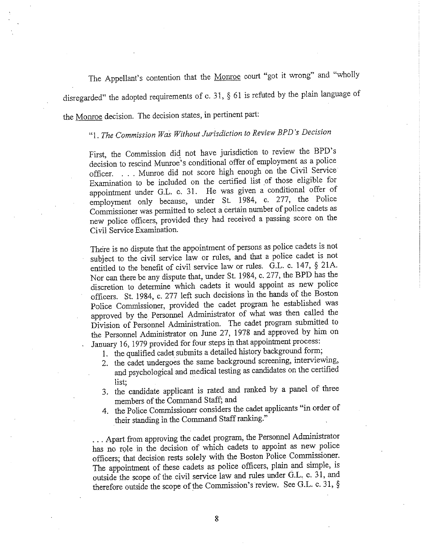The Appellant's contention that the Monroe court "got it wrong" and "wholly disregarded" the adopted requirements of c. 31, § 61 is refuted by the plain language of the Monroe decision. The decision states, in pertinent part:

# "I. *The Commission Was Without Jurisdiction to Review BP D's Decision*

First, the Commission did\_ not have jurisdiction to review the BPD's decision to rescind Munroe's conditional offer of employment as a police officer. ... Munroe did not score high enough on the Civil Service Examination to be included on the certified list of those eligible for appointment under G.L. c. 31. He was given a conditional offer of employment only because, under St. 1984, c. 277, the Police Commissioner was permitted to select a certain number of police cadets as new police officers, provided they had received a passing score on the Civil Service Examination.

There is no dispute that the appointment of persons as police cadets is not subject to the civil service law or rules, and that a police cadet is not entitled to the benefit of civil service law or rules. G.L. c. 147,  $\S$  21A. Nor can there be any dispute that, under St. 1984, c. 277, the BPD has the discretion to determine which cadets it would appoint as new police officers. St. 1984, c. 277 left such decisions in the hands of the Boston Police Commissioner, provided the cadet program he established was approved by the\_ Personnel Administrator of what was then called the Division of Personnel Administration. The cadet program submitted to the Personnel Administrator on June 27, 1978 and approved by him on January 16, 1979 provided for four steps in that appointment process:

- 1. the qualified cadet submits a detailed history background form;
- 2. the cadet undergoes the same background screening, interviewing, and psychological and medical testing as candidates on the certified list; .
- 3. the candidate applicant is rated and ranked by a panel of three members of the Command Staff; and
- 4. the Police Commissioner considers the cadet applicants "in order of their standing in the Command Staff ranking."

... Apart from approving the cadet program, the Personnel Administrator has no role in the decision of which cadets to appoint as new police officers; that decision rests solely with the Boston Police Commissioner. The appointment of these cadets as police officers, plain and simple, is outside the scope of the civil service law and rules under G.L c. 31, and therefore outside the scope of the Commission's review. See G.L. c. 31, §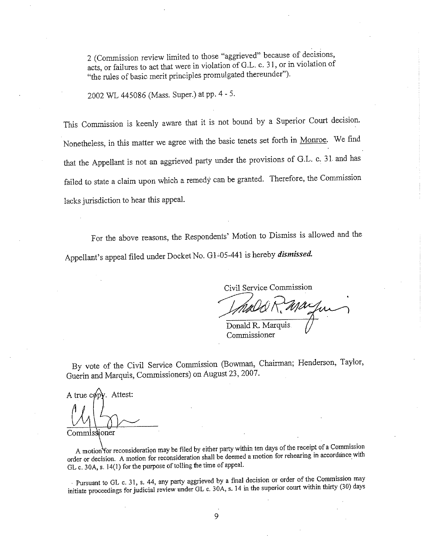2 (Commission review limited to those "aggrieved" because of decisions, acts, or failures to act that were in violation of G.L. c. 31, or in violation of "the rules of basic merit principles promulgated thereunder").

2002 WL 445086 (Mass. Super.) at pp. 4 - 5.

This Commission is keenly aware that it is not bound by a Superior Court decision. Nonetheless, in this matter we agree with the basic tenets set forth in Monroe. We find that the Appellant is not an aggrieved party under the provisions of G.L. c. 3 J. and has failed to state a claim upon which a remedy can be granted. Therefore, the Commission lacks jurisdiction to hear this appeal.

For the above reasons, the Respondents' Motion to Dismiss is allowed and the Appellant's appeal filed under Docket No. G1-05-441 is hereby *dismissed*.

Civil Service Commission

 $\mathcal{L}$ 

Donald R. Marquis Commissioner

By vote of the Civil Service Commission (Bowman, Chairman; Henderson, Taylor, Guerin and Marquis, Commissioners) on August 23, 2007 .

A true copy. Attest: Commissioner

A motion for reconsideration may be filed by either party within ten days of the receipt of a Commission order or decision. A motion for reconsideration shall be deemed a motion for rehearing in accordance with GL c. 30A, s. 14(1) for the purpose of tolling the time of appeal.

· Pursuant to GL c. 31, s. 44, any party aggrieved by a final decision or order of the Commission may initiate proceedings for judicial review under GL c. 30A, s. 14 in the superior court within *thirty* (30) days